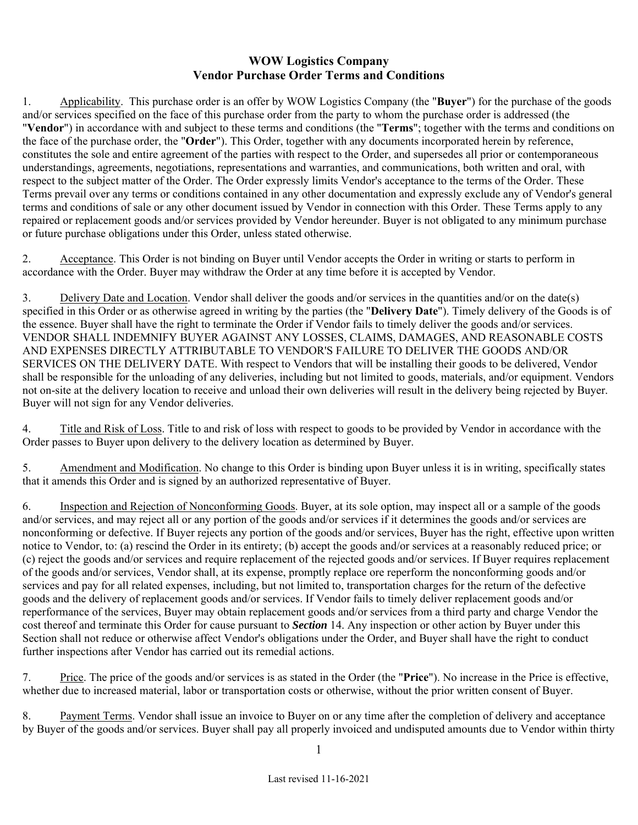## **WOW Logistics Company Vendor Purchase Order Terms and Conditions**

1. Applicability. This purchase order is an offer by WOW Logistics Company (the "**Buyer**") for the purchase of the goods and/or services specified on the face of this purchase order from the party to whom the purchase order is addressed (the "**Vendor**") in accordance with and subject to these terms and conditions (the "**Terms**"; together with the terms and conditions on the face of the purchase order, the "**Order**"). This Order, together with any documents incorporated herein by reference, constitutes the sole and entire agreement of the parties with respect to the Order, and supersedes all prior or contemporaneous understandings, agreements, negotiations, representations and warranties, and communications, both written and oral, with respect to the subject matter of the Order. The Order expressly limits Vendor's acceptance to the terms of the Order. These Terms prevail over any terms or conditions contained in any other documentation and expressly exclude any of Vendor's general terms and conditions of sale or any other document issued by Vendor in connection with this Order. These Terms apply to any repaired or replacement goods and/or services provided by Vendor hereunder. Buyer is not obligated to any minimum purchase or future purchase obligations under this Order, unless stated otherwise.

2. Acceptance. This Order is not binding on Buyer until Vendor accepts the Order in writing or starts to perform in accordance with the Order. Buyer may withdraw the Order at any time before it is accepted by Vendor.

3. Delivery Date and Location. Vendor shall deliver the goods and/or services in the quantities and/or on the date(s) specified in this Order or as otherwise agreed in writing by the parties (the "**Delivery Date**"). Timely delivery of the Goods is of the essence. Buyer shall have the right to terminate the Order if Vendor fails to timely deliver the goods and/or services. VENDOR SHALL INDEMNIFY BUYER AGAINST ANY LOSSES, CLAIMS, DAMAGES, AND REASONABLE COSTS AND EXPENSES DIRECTLY ATTRIBUTABLE TO VENDOR'S FAILURE TO DELIVER THE GOODS AND/OR SERVICES ON THE DELIVERY DATE. With respect to Vendors that will be installing their goods to be delivered, Vendor shall be responsible for the unloading of any deliveries, including but not limited to goods, materials, and/or equipment. Vendors not on-site at the delivery location to receive and unload their own deliveries will result in the delivery being rejected by Buyer. Buyer will not sign for any Vendor deliveries.

4. Title and Risk of Loss. Title to and risk of loss with respect to goods to be provided by Vendor in accordance with the Order passes to Buyer upon delivery to the delivery location as determined by Buyer.

5. Amendment and Modification. No change to this Order is binding upon Buyer unless it is in writing, specifically states that it amends this Order and is signed by an authorized representative of Buyer.

6. Inspection and Rejection of Nonconforming Goods. Buyer, at its sole option, may inspect all or a sample of the goods and/or services, and may reject all or any portion of the goods and/or services if it determines the goods and/or services are nonconforming or defective. If Buyer rejects any portion of the goods and/or services, Buyer has the right, effective upon written notice to Vendor, to: (a) rescind the Order in its entirety; (b) accept the goods and/or services at a reasonably reduced price; or (c) reject the goods and/or services and require replacement of the rejected goods and/or services. If Buyer requires replacement of the goods and/or services, Vendor shall, at its expense, promptly replace ore reperform the nonconforming goods and/or services and pay for all related expenses, including, but not limited to, transportation charges for the return of the defective goods and the delivery of replacement goods and/or services. If Vendor fails to timely deliver replacement goods and/or reperformance of the services, Buyer may obtain replacement goods and/or services from a third party and charge Vendor the cost thereof and terminate this Order for cause pursuant to *Section* 14. Any inspection or other action by Buyer under this Section shall not reduce or otherwise affect Vendor's obligations under the Order, and Buyer shall have the right to conduct further inspections after Vendor has carried out its remedial actions.

7. Price. The price of the goods and/or services is as stated in the Order (the "**Price**"). No increase in the Price is effective, whether due to increased material, labor or transportation costs or otherwise, without the prior written consent of Buyer.

8. Payment Terms. Vendor shall issue an invoice to Buyer on or any time after the completion of delivery and acceptance by Buyer of the goods and/or services. Buyer shall pay all properly invoiced and undisputed amounts due to Vendor within thirty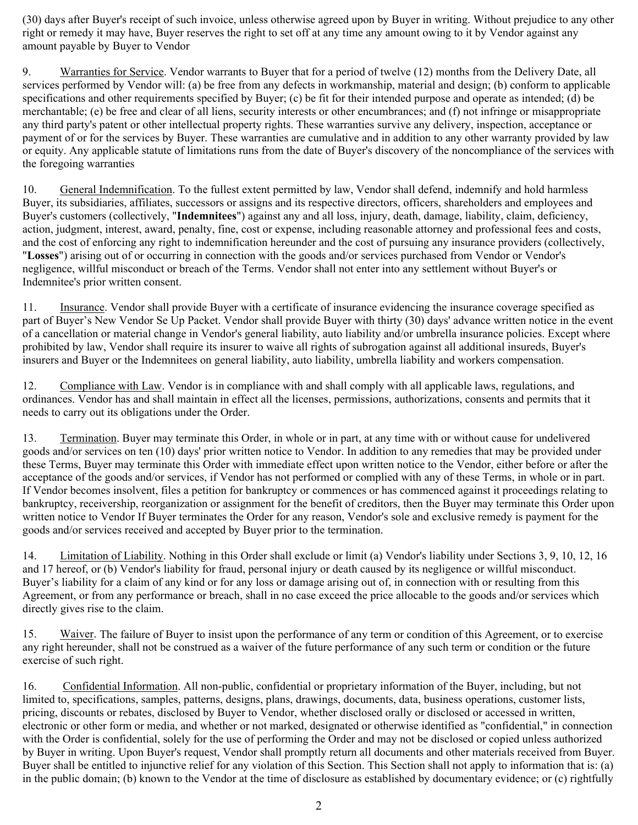(30) days after Buyer's receipt of such invoice, unless otherwise agreed upon by Buyer in writing. Without prejudice to any other right or remedy it may have, Buyer reserves the right to set off at any time any amount owing to it by Vendor against any amount payable by Buyer to Vendor

9. Warranties for Service. Vendor warrants to Buyer that for a period of twelve (12) months from the Delivery Date, all services performed by Vendor will: (a) be free from any defects in workmanship, material and design; (b) conform to applicable specifications and other requirements specified by Buyer; (c) be fit for their intended purpose and operate as intended; (d) be merchantable; (e) be free and clear of all liens, security interests or other encumbrances; and (f) not infringe or misappropriate any third party's patent or other intellectual property rights. These warranties survive any delivery, inspection, acceptance or payment of or for the services by Buyer. These warranties are cumulative and in addition to any other warranty provided by law or equity. Any applicable statute of limitations runs from the date of Buyer's discovery of the noncompliance of the services with the foregoing warranties

10. General Indemnification. To the fullest extent permitted by law, Vendor shall defend, indemnify and hold harmless Buyer, its subsidiaries, affiliates, successors or assigns and its respective directors, officers, shareholders and employees and Buyer's customers (collectively, "**Indemnitees**") against any and all loss, injury, death, damage, liability, claim, deficiency, action, judgment, interest, award, penalty, fine, cost or expense, including reasonable attorney and professional fees and costs, and the cost of enforcing any right to indemnification hereunder and the cost of pursuing any insurance providers (collectively, "**Losses**") arising out of or occurring in connection with the goods and/or services purchased from Vendor or Vendor's negligence, willful misconduct or breach of the Terms. Vendor shall not enter into any settlement without Buyer's or Indemnitee's prior written consent.

11. Insurance. Vendor shall provide Buyer with a certificate of insurance evidencing the insurance coverage specified as part of Buyer's New Vendor Se Up Packet. Vendor shall provide Buyer with thirty (30) days' advance written notice in the event of a cancellation or material change in Vendor's general liability, auto liability and/or umbrella insurance policies. Except where prohibited by law, Vendor shall require its insurer to waive all rights of subrogation against all additional insureds, Buyer's insurers and Buyer or the Indemnitees on general liability, auto liability, umbrella liability and workers compensation.

12. Compliance with Law. Vendor is in compliance with and shall comply with all applicable laws, regulations, and ordinances. Vendor has and shall maintain in effect all the licenses, permissions, authorizations, consents and permits that it needs to carry out its obligations under the Order.

13. Termination. Buyer may terminate this Order, in whole or in part, at any time with or without cause for undelivered goods and/or services on ten (10) days' prior written notice to Vendor. In addition to any remedies that may be provided under these Terms, Buyer may terminate this Order with immediate effect upon written notice to the Vendor, either before or after the acceptance of the goods and/or services, if Vendor has not performed or complied with any of these Terms, in whole or in part. If Vendor becomes insolvent, files a petition for bankruptcy or commences or has commenced against it proceedings relating to bankruptcy, receivership, reorganization or assignment for the benefit of creditors, then the Buyer may terminate this Order upon written notice to Vendor If Buyer terminates the Order for any reason, Vendor's sole and exclusive remedy is payment for the goods and/or services received and accepted by Buyer prior to the termination.

14. Limitation of Liability. Nothing in this Order shall exclude or limit (a) Vendor's liability under Sections 3, 9, 10, 12, 16 and 17 hereof, or (b) Vendor's liability for fraud, personal injury or death caused by its negligence or willful misconduct. Buyer's liability for a claim of any kind or for any loss or damage arising out of, in connection with or resulting from this Agreement, or from any performance or breach, shall in no case exceed the price allocable to the goods and/or services which directly gives rise to the claim.

15. Waiver. The failure of Buyer to insist upon the performance of any term or condition of this Agreement, or to exercise any right hereunder, shall not be construed as a waiver of the future performance of any such term or condition or the future exercise of such right.

16. Confidential Information. All non-public, confidential or proprietary information of the Buyer, including, but not limited to, specifications, samples, patterns, designs, plans, drawings, documents, data, business operations, customer lists, pricing, discounts or rebates, disclosed by Buyer to Vendor, whether disclosed orally or disclosed or accessed in written, electronic or other form or media, and whether or not marked, designated or otherwise identified as "confidential," in connection with the Order is confidential, solely for the use of performing the Order and may not be disclosed or copied unless authorized by Buyer in writing. Upon Buyer's request, Vendor shall promptly return all documents and other materials received from Buyer. Buyer shall be entitled to injunctive relief for any violation of this Section. This Section shall not apply to information that is: (a) in the public domain; (b) known to the Vendor at the time of disclosure as established by documentary evidence; or (c) rightfully